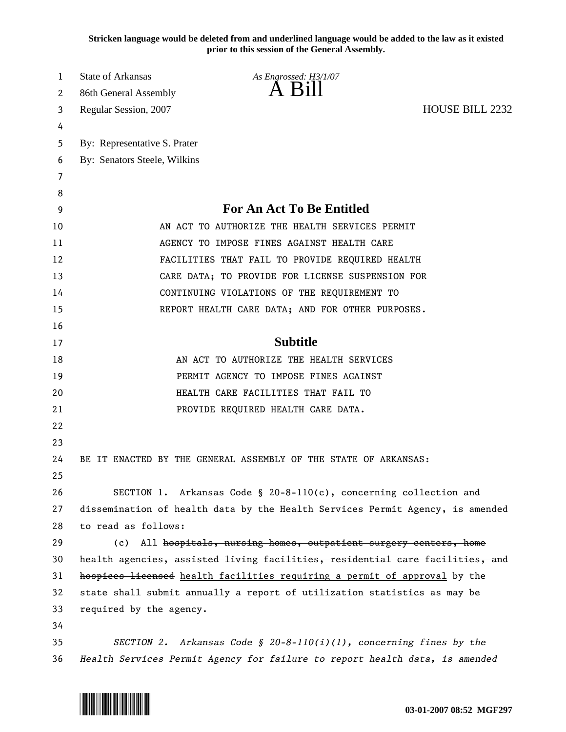**Stricken language would be deleted from and underlined language would be added to the law as it existed prior to this session of the General Assembly.**

| 1  | <b>State of Arkansas</b>                                                      | As Engrossed: H3/1/07                                                         |                        |
|----|-------------------------------------------------------------------------------|-------------------------------------------------------------------------------|------------------------|
| 2  | 86th General Assembly                                                         |                                                                               |                        |
| 3  | Regular Session, 2007                                                         |                                                                               | <b>HOUSE BILL 2232</b> |
| 4  |                                                                               |                                                                               |                        |
| 5  | By: Representative S. Prater                                                  |                                                                               |                        |
| 6  | By: Senators Steele, Wilkins                                                  |                                                                               |                        |
| 7  |                                                                               |                                                                               |                        |
| 8  |                                                                               |                                                                               |                        |
| 9  | <b>For An Act To Be Entitled</b>                                              |                                                                               |                        |
| 10 | AN ACT TO AUTHORIZE THE HEALTH SERVICES PERMIT                                |                                                                               |                        |
| 11 | AGENCY TO IMPOSE FINES AGAINST HEALTH CARE                                    |                                                                               |                        |
| 12 | FACILITIES THAT FAIL TO PROVIDE REQUIRED HEALTH                               |                                                                               |                        |
| 13 | CARE DATA; TO PROVIDE FOR LICENSE SUSPENSION FOR                              |                                                                               |                        |
| 14 | CONTINUING VIOLATIONS OF THE REQUIREMENT TO                                   |                                                                               |                        |
| 15 |                                                                               | REPORT HEALTH CARE DATA; AND FOR OTHER PURPOSES.                              |                        |
| 16 |                                                                               |                                                                               |                        |
| 17 |                                                                               | <b>Subtitle</b>                                                               |                        |
| 18 |                                                                               | AN ACT TO AUTHORIZE THE HEALTH SERVICES                                       |                        |
| 19 | PERMIT AGENCY TO IMPOSE FINES AGAINST                                         |                                                                               |                        |
| 20 | HEALTH CARE FACILITIES THAT FAIL TO                                           |                                                                               |                        |
| 21 |                                                                               | PROVIDE REQUIRED HEALTH CARE DATA.                                            |                        |
| 22 |                                                                               |                                                                               |                        |
| 23 |                                                                               |                                                                               |                        |
| 24 |                                                                               | BE IT ENACTED BY THE GENERAL ASSEMBLY OF THE STATE OF ARKANSAS:               |                        |
| 25 |                                                                               |                                                                               |                        |
| 26 |                                                                               | SECTION 1. Arkansas Code § 20-8-110(c), concerning collection and             |                        |
| 27 |                                                                               | dissemination of health data by the Health Services Permit Agency, is amended |                        |
| 28 | to read as follows:                                                           |                                                                               |                        |
| 29 |                                                                               | (c) All hospitals, nursing homes, outpatient surgery centers, home            |                        |
| 30 | health agencies, assisted living facilities, residential care facilities, and |                                                                               |                        |
| 31 | hospices licensed health facilities requiring a permit of approval by the     |                                                                               |                        |
| 32 | state shall submit annually a report of utilization statistics as may be      |                                                                               |                        |
| 33 | required by the agency.                                                       |                                                                               |                        |
| 34 |                                                                               |                                                                               |                        |
| 35 |                                                                               | SECTION 2. Arkansas Code § 20-8-110(i)(1), concerning fines by the            |                        |
| 36 | Health Services Permit Agency for failure to report health data, is amended   |                                                                               |                        |